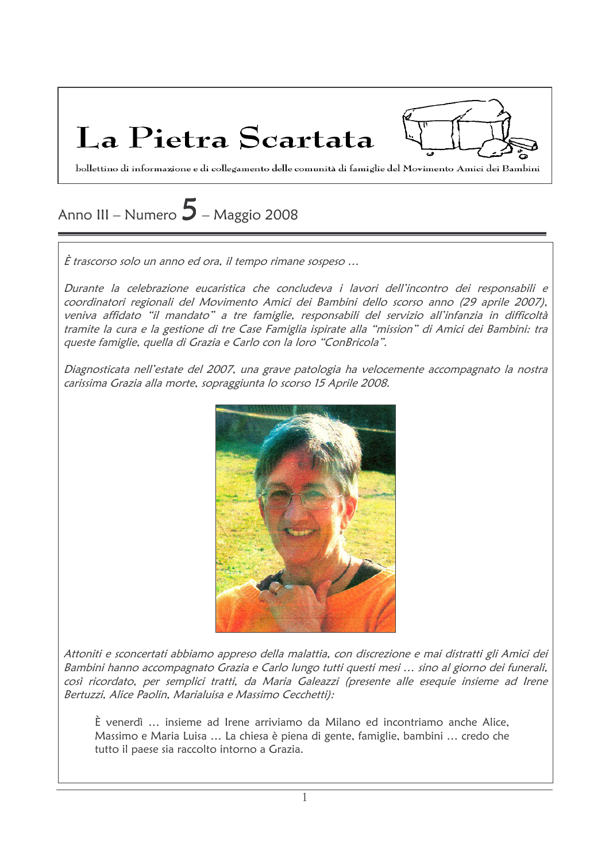La Pietra Scartata



bollettino di informazione e di collegamento delle comunità di famiglie del Movimento Amici dei Bambini

# Anno III – Numero  $5$  – Maggio 2008

È trascorso solo un anno ed ora, il tempo rimane sospeso ...

Durante la celebrazione eucaristica che concludeva i lavori dell'incontro dei responsabili e coordinatori regionali del Movimento Amici dei Bambini dello scorso anno (29 aprile 2007), veniva affidato "il mandato" a tre famiglie, responsabili del servizio all'infanzia in difficoltà tramite la cura e la gestione di tre Case Famiglia ispirate alla "mission" di Amici dei Bambini: tra queste famiglie, quella di Grazia e Carlo con la loro "ConBricola".

Diagnosticata nell'estate del 2007, una grave patologia ha velocemente accompagnato la nostra carissima Grazia alla morte, sopraggiunta lo scorso 15 Aprile 2008.



Attoniti e sconcertati abbiamo appreso della malattia, con discrezione e mai distratti gli Amici dei Bambini hanno accompagnato Grazia e Carlo lungo tutti questi mesi ... sino al giorno dei funerali, così ricordato, per semplici tratti, da Maria Galeazzi (presente alle esequie insieme ad Irene Bertuzzi, Alice Paolin, Marialuisa e Massimo Cecchetti):

È venerdì ... insieme ad Irene arriviamo da Milano ed incontriamo anche Alice, Massimo e Maria Luisa ... La chiesa è piena di gente, famiglie, bambini ... credo che tutto il paese sia raccolto intorno a Grazia.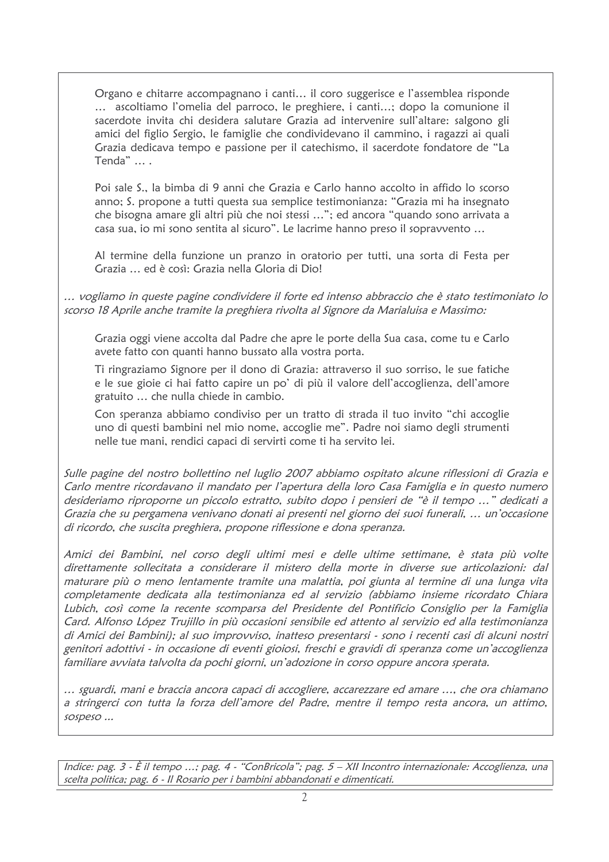Organo e chitarre accompagnano i canti... il coro suggerisce e l'assemblea risponde ... ascoltiamo l'omelia del parroco, le preghiere, i canti...; dopo la comunione il sacerdote invita chi desidera salutare Grazia ad intervenire sull'altare: salgono gli amici del figlio Sergio, le famiglie che condividevano il cammino, i ragazzi ai quali Grazia dedicava tempo e passione per il catechismo, il sacerdote fondatore de "La Tenda" ... .

Poi sale S., la bimba di 9 anni che Grazia e Carlo hanno accolto in affido lo scorso anno; S. propone a tutti questa sua semplice testimonianza: "Grazia mi ha insegnato che bisogna amare gli altri più che noi stessi ..."; ed ancora "quando sono arrivata a casa sua, io mi sono sentita al sicuro". Le lacrime hanno preso il sopravvento ...

Al termine della funzione un pranzo in oratorio per tutti, una sorta di Festa per Grazia ... ed è così: Grazia nella Gloria di Dio!

... vogliamo in queste pagine condividere il forte ed intenso abbraccio che è stato testimoniato lo scorso 18 Aprile anche tramite la preghiera rivolta al Signore da Marialuisa e Massimo:

Grazia oggi viene accolta dal Padre che apre le porte della Sua casa, come tu e Carlo avete fatto con quanti hanno bussato alla vostra porta.

Ti ringraziamo Signore per il dono di Grazia: attraverso il suo sorriso, le sue fatiche e le sue gioie ci hai fatto capire un po' di più il valore dell'accoglienza, dell'amore gratuito ... che nulla chiede in cambio.

Con speranza abbiamo condiviso per un tratto di strada il tuo invito "chi accoglie uno di questi bambini nel mio nome, accoglie me". Padre noi siamo degli strumenti nelle tue mani, rendici capaci di servirti come ti ha servito lei.

Sulle pagine del nostro bollettino nel luglio 2007 abbiamo ospitato alcune riflessioni di Grazia e Carlo mentre ricordavano il mandato per l'apertura della loro Casa Famiglia e in questo numero desideriamo riproporne un piccolo estratto, subito dopo i pensieri de "è il tempo ..." dedicati a Grazia che su pergamena venivano donati ai presenti nel giorno dei suoi funerali, ... un'occasione di ricordo, che suscita preghiera, propone riflessione e dona speranza.

Amici dei Bambini, nel corso degli ultimi mesi e delle ultime settimane, è stata più volte direttamente sollecitata a considerare il mistero della morte in diverse sue articolazioni: dal maturare più o meno lentamente tramite una malattia, poi giunta al termine di una lunga vita completamente dedicata alla testimonianza ed al servizio (abbiamo insieme ricordato Chiara Lubich, così come la recente scomparsa del Presidente del Pontificio Consiglio per la Famiglia Card. Alfonso López Trujillo in più occasioni sensibile ed attento al servizio ed alla testimonianza di Amici dei Bambini); al suo improvviso, inatteso presentarsi - sono i recenti casi di alcuni nostri genitori adottivi - in occasione di eventi gioiosi, freschi e gravidi di speranza come un'accoglienza familiare avviata talvolta da pochi giorni, un'adozione in corso oppure ancora sperata.

... sguardi, mani e braccia ancora capaci di accogliere, accarezzare ed amare ..., che ora chiamano a stringerci con tutta la forza dell'amore del Padre, mentre il tempo resta ancora, un attimo, sospeso ...

Indice: pag. 3 - È il tempo ...; pag. 4 - "ConBricola"; pag. 5 – XII Incontro internazionale: Accoglienza, una scelta politica; pag. 6 - Il Rosario per i bambini abbandonati e dimenticati.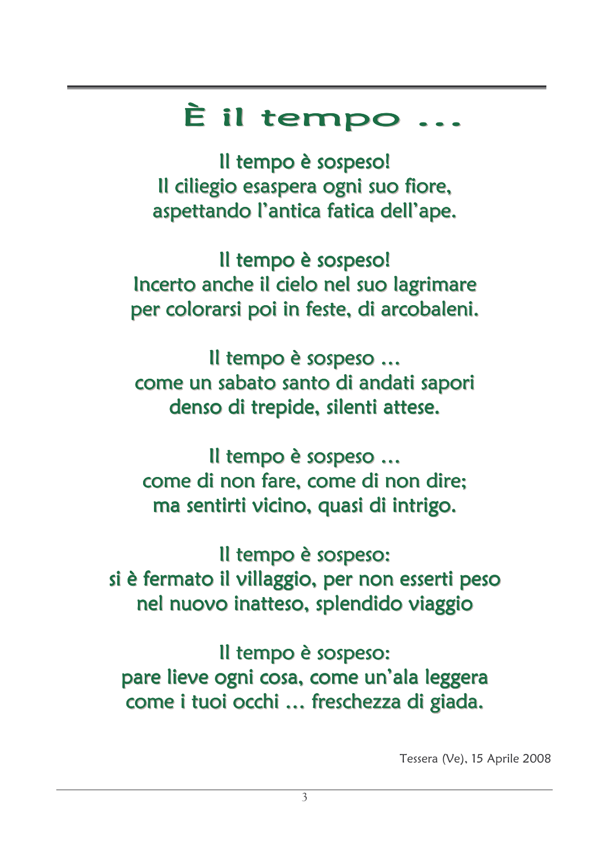# È il tempo

Il tempo è sospeso! Il ciliegio esaspera ogni suo fiore, aspettando l'antica fatica dell'ape.

Il tempo è sospeso! Incerto anche il cielo nel suo lagrimare per colorarsi poi in feste, di arcobaleni.

Il tempo è sospeso ... come un sabato santo di andati sapori denso di trepide, silenti attese.

Il tempo è sospeso ... come di non fare, come di non dire; ma sentirti vicino, quasi di intrigo.

Il tempo è sospeso: si è fermato il villaggio, per non esserti peso nel nuovo inatteso, splendido viaggio

Il tempo è sospeso: pare lieve ogni cosa, come un'ala leggera come i tuoi occhi ... freschezza di giada.

Tessera (Ve), 15 Aprile 2008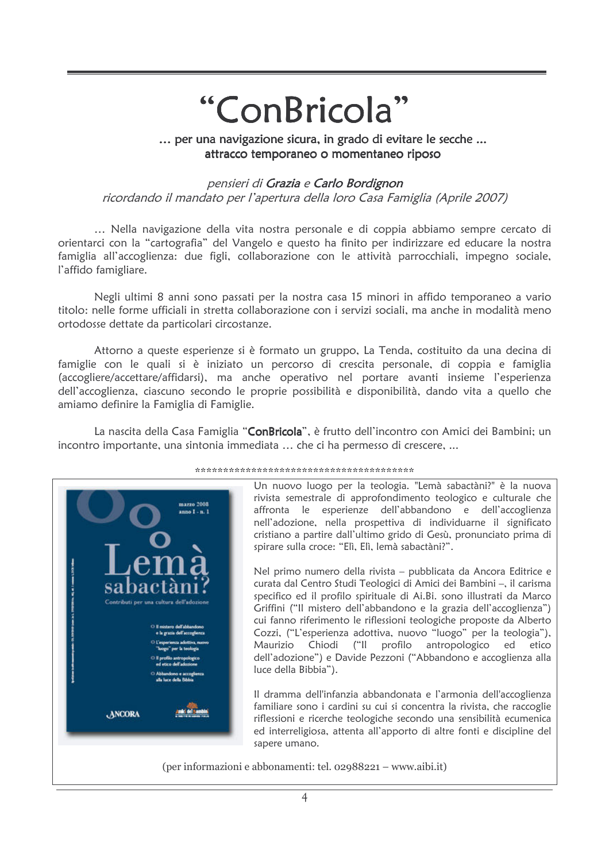# "ConBricola"

... per una navigazione sicura, in grado di evitare le secche ... attracco temporaneo o momentaneo riposo

#### pensieri di Grazia e Carlo Bordignon

ricordando il mandato per l'apertura della loro Casa Famiglia (Aprile 2007)

... Nella navigazione della vita nostra personale e di coppia abbiamo sempre cercato di orientarci con la "cartografia" del Vangelo e questo ha finito per indirizzare ed educare la nostra famiglia all'accoglienza: due figli, collaborazione con le attività parrocchiali, impegno sociale, l'affido famigliare.

Negli ultimi 8 anni sono passati per la nostra casa 15 minori in affido temporaneo a vario titolo: nelle forme ufficiali in stretta collaborazione con i servizi sociali, ma anche in modalità meno ortodosse dettate da particolari circostanze.

Attorno a queste esperienze si è formato un gruppo, La Tenda, costituito da una decina di famiglie con le quali si è iniziato un percorso di crescita personale, di coppia e famiglia (accogliere/accettare/affidarsi), ma anche operativo nel portare avanti insieme l'esperienza dell'accoglienza, ciascuno secondo le proprie possibilità e disponibilità, dando vita a quello che amiamo definire la Famiglia di Famiglie.

La nascita della Casa Famiglia "ConBricola", è frutto dell'incontro con Amici dei Bambini; un incontro importante, una sintonia immediata ... che ci ha permesso di crescere. ...



#### .<br>के बेस के बेस के बेस के बेस के बेस के बेस के बेस के बेस के बेस के बेस के बेस के बेस के बेस के बेस के बेस के बेस के बेस के

Un nuovo luogo per la teologia. "Lemà sabactàni?" è la nuova rivista semestrale di approfondimento teologico e culturale che affronta le esperienze dell'abbandono e dell'accoglienza nell'adozione, nella prospettiva di individuarne il significato cristiano a partire dall'ultimo grido di Gesù, pronunciato prima di spirare sulla croce: "Elì, Elì, lemà sabactàni?".

Nel primo numero della rivista – pubblicata da Ancora Editrice e curata dal Centro Studi Teologici di Amici dei Bambini -, il carisma specifico ed il profilo spirituale di Ai.Bi. sono illustrati da Marco Griffini ("Il mistero dell'abbandono e la grazia dell'accoglienza") cui fanno riferimento le riflessioni teologiche proposte da Alberto Cozzi, ("L'esperienza adottiva, nuovo "luogo" per la teologia"), Maurizio Chiodi ("Il profilo antropologico ed etico dell'adozione") e Davide Pezzoni ("Abbandono e accoglienza alla luce della Bibbia").

Il dramma dell'infanzia abbandonata e l'armonia dell'accoglienza familiare sono i cardini su cui si concentra la rivista, che raccoglie riflessioni e ricerche teologiche secondo una sensibilità ecumenica ed interreligiosa, attenta all'apporto di altre fonti e discipline del sapere umano.

(per informazioni e abbonamenti: tel. 02988221 – www.aibi.it)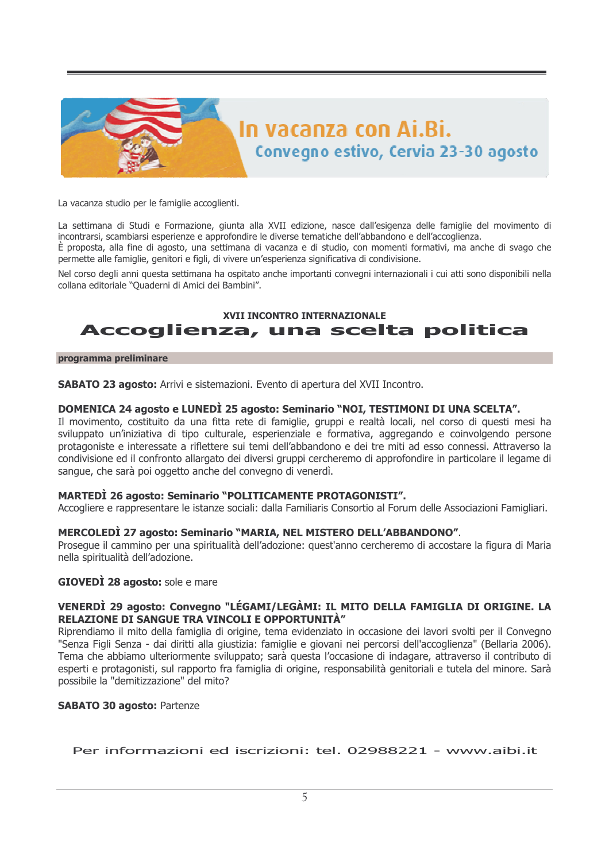

La vacanza studio per le famiglie accoglienti.

La settimana di Studi e Formazione, giunta alla XVII edizione, nasce dall'esigenza delle famiglie del movimento di incontrarsi, scambiarsi esperienze e approfondire le diverse tematiche dell'abbandono e dell'accoglienza.

È proposta, alla fine di agosto, una settimana di vacanza e di studio, con momenti formativi, ma anche di svago che permette alle famiglie, genitori e figli, di vivere un'esperienza significativa di condivisione.

Nel corso degli anni questa settimana ha ospitato anche importanti convegni internazionali i cui atti sono disponibili nella collana editoriale "Quaderni di Amici dei Bambini".

### XVII INCONTRO INTERNAZIONALE Accoglienza, una scelta politica

#### programma preliminare

**SABATO 23 agosto:** Arrivi e sistemazioni. Evento di apertura del XVII Incontro.

#### DOMENICA 24 agosto e LUNEDÌ 25 agosto: Seminario "NOI, TESTIMONI DI UNA SCELTA".

Il movimento, costituito da una fitta rete di famiglie, gruppi e realtà locali, nel corso di questi mesi ha sviluppato un'iniziativa di tipo culturale, esperienziale e formativa, aggregando e coinvolgendo persone protagoniste e interessate a riflettere sui temi dell'abbandono e dei tre miti ad esso connessi. Attraverso la condivisione ed il confronto allargato dei diversi gruppi cercheremo di approfondire in particolare il legame di sangue, che sarà poi oggetto anche del convegno di venerdì.

#### **MARTEDI 26 agosto: Seminario "POLITICAMENTE PROTAGONISTI".**

Accogliere e rappresentare le istanze sociali: dalla Familiaris Consortio al Forum delle Associazioni Famigliari.

#### MERCOLEDI 27 agosto: Seminario "MARIA, NEL MISTERO DELL'ABBANDONO".

Prosegue il cammino per una spiritualità dell'adozione: guest'anno cercheremo di accostare la figura di Maria nella spiritualità dell'adozione.

#### **GIOVEDI 28 agosto:** sole e mare

#### VENERDÌ 29 agosto: Convegno "LÉGAMI/LEGÀMI: IL MITO DELLA FAMIGLIA DI ORIGINE. LA RELAZIONE DI SANGUE TRA VINCOLI E OPPORTUNITÀ"

Riprendiamo il mito della famiglia di origine, tema evidenziato in occasione dei lavori svolti per il Convegno "Senza Figli Senza - dai diritti alla giustizia: famiglie e giovani nei percorsi dell'accoglienza" (Bellaria 2006). Tema che abbiamo ulteriormente sviluppato; sarà questa l'occasione di indagare, attraverso il contributo di esperti e protagonisti, sul rapporto fra famiglia di origine, responsabilità genitoriali e tutela del minore. Sarà possibile la "demitizzazione" del mito?

#### **SABATO 30 agosto: Partenze**

Per informazioni ed iscrizioni: tel. 02988221 - www.aibi.it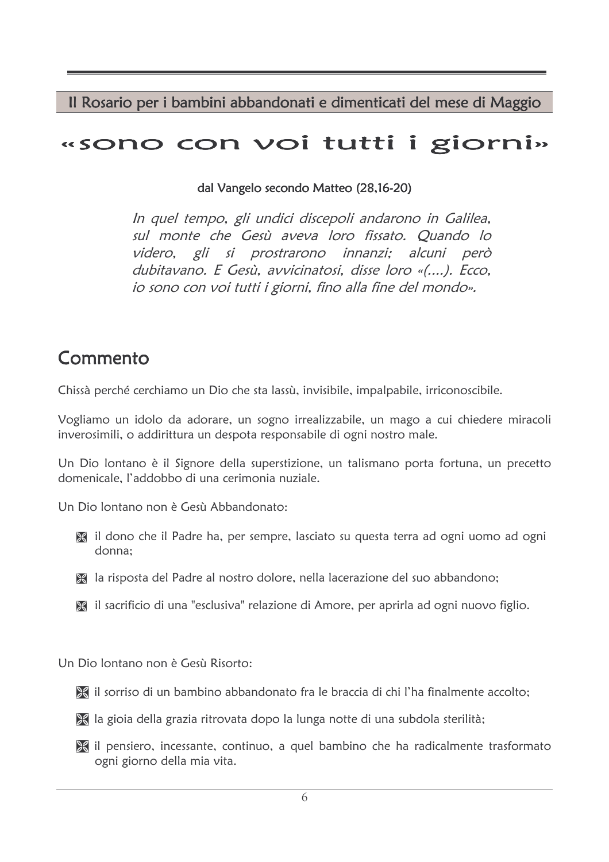Il Rosario per i bambini abbandonati e dimenticati del mese di Maggio

# «sono con voi tutti i giorni»

dal Vangelo secondo Matteo (28,16-20)

In quel tempo, gli undici discepoli andarono in Galilea, sul monte che Gesù aveva loro fissato. Quando lo videro, gli si prostrarono innanzi; alcuni però dubitavano. E Gesù, avvicinatosi, disse loro «(....). Ecco. io sono con voi tutti i giorni, fino alla fine del mondo».

# Commento

Chissà perché cerchiamo un Dio che sta lassù, invisibile, impalpabile, irriconoscibile.

Vogliamo un idolo da adorare, un sogno irrealizzabile, un mago a cui chiedere miracoli inverosimili, o addirittura un despota responsabile di ogni nostro male.

Un Dio lontano è il Signore della superstizione, un talismano porta fortuna, un precetto domenicale l'addobbo di una cerimonia nuziale

Un Dio Iontano non è Gesù Abbandonato:

- il dono che il Padre ha, per sempre, lasciato su questa terra ad ogni uomo ad ogni donna:
- la risposta del Padre al nostro dolore, nella lacerazione del suo abbandono;
- il sacrificio di una "esclusiva" relazione di Amore, per aprirla ad ogni nuovo figlio.

Un Dio Iontano non è Gesù Risorto:

- al sorriso di un bambino abbandonato fra le braccia di chi l'ha finalmente accolto;
- a la gioia della grazia ritrovata dopo la lunga notte di una subdola sterilità;
- il pensiero, incessante, continuo, a quel bambino che ha radicalmente trasformato ogni giorno della mia vita.